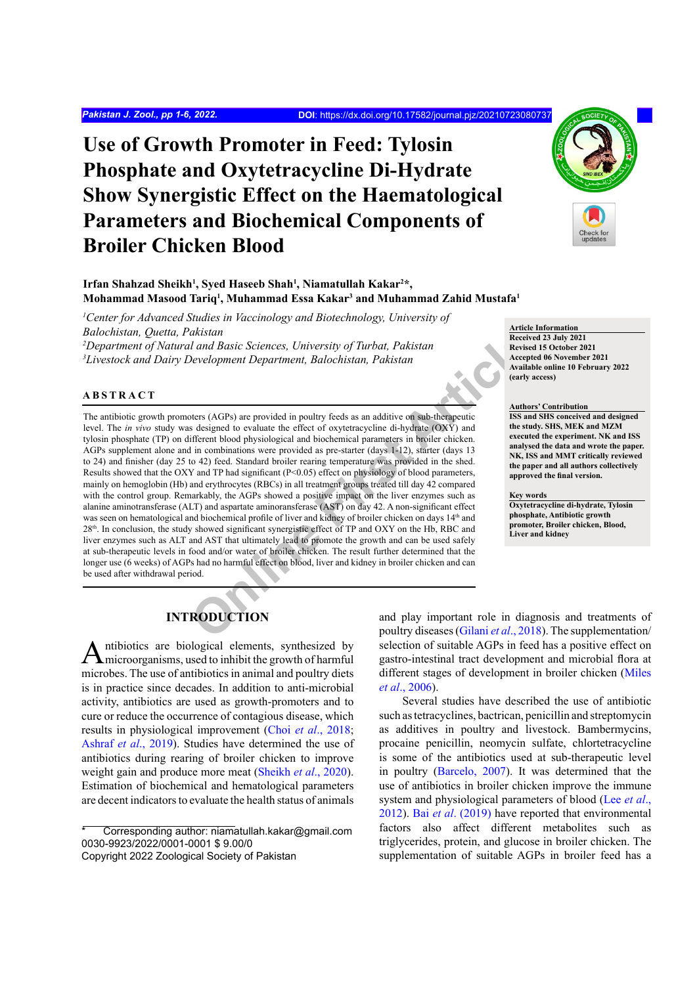## **Use of Growth Promoter in Feed: Tylosin Phosphate and Oxytetracycline Di-Hydrate Show Synergistic Effect on the Haematological Parameters and Biochemical Components of Broiler Chicken Blood**



Irfan Shahzad Sheikh<sup>1</sup>, Syed Haseeb Shah<sup>1</sup>, Niamatullah Kakar<sup>2\*</sup>, **Mohammad Masood Tariq1 , Muhammad Essa Kakar3 and Muhammad Zahid Mustafa1**

<sup>1</sup> Center for Advanced Studies in Vaccinology and Biotechnology, University of *Balochistan, Quetta, Pakistan 2 Department of Natural and Basic Sciences, University of Turbat, Pakistan 3 Livestock and Dairy Development Department, Balochistan, Pakistan*

#### **ABSTRACT**

Land Basic Sciences, University of Turbat, Pakistan<br>
Development Department, Balochistan, Pakistan<br>
Secretive Availation (Secretive Availation Article)<br>
Secretive Availation (Secretive Availation of the street of oxyettrac The antibiotic growth promoters (AGPs) are provided in poultry feeds as an additive on sub-therapeutic level. The *in vivo* study was designed to evaluate the effect of oxytetracycline di-hydrate (OXY) and tylosin phosphate (TP) on different blood physiological and biochemical parameters in broiler chicken. AGPs supplement alone and in combinations were provided as pre-starter (days 1-12), starter (days 13 to 24) and finisher (day 25 to 42) feed. Standard broiler rearing temperature was provided in the shed. Results showed that the OXY and TP had significant ( $P<0.05$ ) effect on physiology of blood parameters, mainly on hemoglobin (Hb) and erythrocytes (RBCs) in all treatment groups treated till day 42 compared with the control group. Remarkably, the AGPs showed a positive impact on the liver enzymes such as alanine aminotransferase (ALT) and aspartate aminoransferase (AST) on day 42. A non-significant effect was seen on hematological and biochemical profile of liver and kidney of broiler chicken on days 14<sup>th</sup> and 28<sup>th</sup>. In conclusion, the study showed significant synergistic effect of TP and OXY on the Hb, RBC and liver enzymes such as ALT and AST that ultimately lead to promote the growth and can be used safely at sub-therapeutic levels in food and/or water of broiler chicken. The result further determined that the longer use (6 weeks) of AGPs had no harmful effect on blood, liver and kidney in broiler chicken and can be used after withdrawal period.

#### **Article Information Received 23 July 2021 Revised 15 October 2021 Accepted 06 November 2021 Available online 10 February 2022 (early access)**

**Authors' Contribution ISS and SHS conceived and designed the study. SHS, MEK and MZM executed the experiment. NK and ISS analysed the data and wrote the paper. NK, ISS and MMT critically reviewed the paper and all authors collectively approved the final version.**

#### **Key words**

**Oxytetracycline di-hydrate, Tylosin phosphate, Antibiotic growth promoter, Broiler chicken, Blood, Liver and kidney**

### **INTRODUCTION**

Antibiotics are biological elements, synthesized by microorganisms, used to inhibit the growth of harmful microbes. The use of antibiotics in animal and poultry diets is in practice since decades. In addition to anti-microbial activity, antibiotics are used as growth-promoters and to cure or reduce the occurrence of contagious disease, which results in physiological improvement (Choi *et al*., 2018; [Ashraf](#page-4-0) *et al*., 2019). Studies have determined the use of antibiotics during rearing of broiler chicken to improve weight gain and produce more meat ([Sheikh](#page-5-0) *et al*., 2020). Estimation of biochemical and hematological parameters are decent indicators to evaluate the health status of animals

Corresponding author: niamatullah.kakar@gmail.com 0030-9923/2022/0001-0001 \$ 9.00/0

and play important role in diagnosis and treatments of poultry diseases (Gilani *et al*., 2018). The supplementation/ selection of suitable AGPs in feed has a positive effect on gastro-intestinal tract development and microbial flora at different stages of development in broiler chicken (Miles *et al*., 2006).

Several studies have described the use of antibiotic such as tetracyclines, bactrican, penicillin and streptomycin as additives in poultry and livestock. Bambermycins, procaine penicillin, neomycin sulfate, chlortetracycline is some of the antibiotics used at sub-therapeutic level in poultry ([Barcelo, 2007](#page-4-2)). It was determined that the use of antibiotics in broiler chicken improve the immune system and physiological parameters of blood (Lee *et al*., 2012). Bai *et al*[. \(2019\)](#page-4-3) have reported that environmental factors also affect different metabolites such as triglycerides, protein, and glucose in broiler chicken. The supplementation of suitable AGPs in broiler feed has a

Copyright 2022 Zoological Society of Pakistan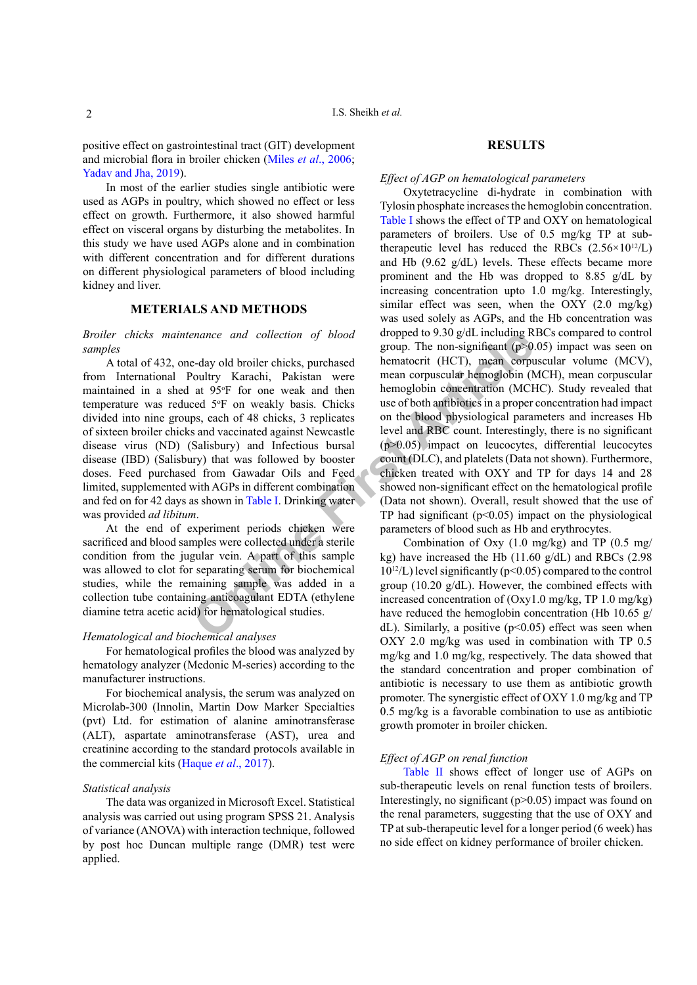positive effect on gastrointestinal tract (GIT) development and microbial flora in broiler chicken (Miles *et al*., 2006; [Yadav and Jha, 2019](#page-5-1)).

In most of the earlier studies single antibiotic were used as AGPs in poultry, which showed no effect or less effect on growth. Furthermore, it also showed harmful effect on visceral organs by disturbing the metabolites. In this study we have used AGPs alone and in combination with different concentration and for different durations on different physiological parameters of blood including kidney and liver.

#### **METERIALS AND METHODS**

*Broiler chicks maintenance and collection of blood samples*

A total of 432, one-day old broiler chicks, purchased from International Poultry Karachi, Pakistan were maintained in a shed at 95°F for one weak and then temperature was reduced 5°F on weakly basis. Chicks divided into nine groups, each of 48 chicks, 3 replicates of sixteen broiler chicks and vaccinated against Newcastle disease virus (ND) (Salisbury) and Infectious bursal disease (IBD) (Salisbury) that was followed by booster doses. Feed purchased from Gawadar Oils and Feed limited, supplemented with AGPs in different combination and fed on for 42 days as shown in Table I. Drinking water was provided *ad libitum*.

At the end of experiment periods chicken were sacrificed and blood samples were collected under a sterile condition from the jugular vein. A part of this sample was allowed to clot for separating serum for biochemical studies, while the remaining sample was added in a collection tube containing anticoagulant EDTA (ethylene diamine tetra acetic acid) for hematological studies.

#### *Hematological and biochemical analyses*

For hematological profiles the blood was analyzed by hematology analyzer (Medonic M-series) according to the manufacturer instructions.

For biochemical analysis, the serum was analyzed on Microlab-300 (Innolin, Martin Dow Marker Specialties (pvt) Ltd. for estimation of alanine aminotransferase (ALT), aspartate aminotransferase (AST), urea and creatinine according to the standard protocols available in the commercial kits [\(Haque](#page-4-4) *et al*., 2017).

#### *Statistical analysis*

The data was organized in Microsoft Excel. Statistical analysis was carried out using program SPSS 21. Analysis of variance (ANOVA) with interaction technique, followed by post hoc Duncan multiple range (DMR) test were applied.

#### **RESULTS**

#### *Effect of AGP on hematological parameters*

*enance and collection of blood* aropped to 9.30 g/dL including K<br>
group. The non-significant (p>0.<br>
be-day old broiler chicks, purchased hematorrit (HCT), mean corp<br>
boultry Karachi, Pakistan were mean corpuscular hemogl Oxytetracycline di-hydrate in combination with Tylosin phosphate increases the hemoglobin concentration. [Table I](#page-2-0) shows the effect of TP and OXY on hematological parameters of broilers. Use of 0.5 mg/kg TP at subtherapeutic level has reduced the RBCs  $(2.56 \times 10^{12} / L)$ and Hb (9.62 g/dL) levels. These effects became more prominent and the Hb was dropped to 8.85  $g/dL$  by increasing concentration upto 1.0 mg/kg. Interestingly, similar effect was seen, when the OXY (2.0 mg/kg) was used solely as AGPs, and the Hb concentration was dropped to 9.30 g/dL including RBCs compared to control group. The non-significant  $(p>0.05)$  impact was seen on hematocrit (HCT), mean corpuscular volume (MCV), mean corpuscular hemoglobin (MCH), mean corpuscular hemoglobin concentration (MCHC). Study revealed that use of both antibiotics in a proper concentration had impact on the blood physiological parameters and increases Hb level and RBC count. Interestingly, there is no significant (p>0.05) impact on leucocytes, differential leucocytes count (DLC), and platelets (Data not shown). Furthermore, chicken treated with OXY and TP for days 14 and 28 showed non-significant effect on the hematological profile (Data not shown). Overall, result showed that the use of TP had significant  $(p<0.05)$  impact on the physiological parameters of blood such as Hb and erythrocytes.

Combination of Oxy (1.0 mg/kg) and TP (0.5 mg/ kg) have increased the Hb (11.60 g/dL) and RBCs (2.98  $10^{12}$ /L) level significantly (p<0.05) compared to the control group (10.20 g/dL). However, the combined effects with increased concentration of (Oxy1.0 mg/kg, TP 1.0 mg/kg) have reduced the hemoglobin concentration (Hb 10.65 g/ dL). Similarly, a positive  $(p<0.05)$  effect was seen when OXY 2.0 mg/kg was used in combination with TP 0.5 mg/kg and 1.0 mg/kg, respectively. The data showed that the standard concentration and proper combination of antibiotic is necessary to use them as antibiotic growth promoter. The synergistic effect of OXY 1.0 mg/kg and TP 0.5 mg/kg is a favorable combination to use as antibiotic growth promoter in broiler chicken.

#### *Effect of AGP on renal function*

[Table II](#page-2-1) shows effect of longer use of AGPs on sub-therapeutic levels on renal function tests of broilers. Interestingly, no significant  $(p>0.05)$  impact was found on the renal parameters, suggesting that the use of OXY and TP at sub-therapeutic level for a longer period (6 week) has no side effect on kidney performance of broiler chicken.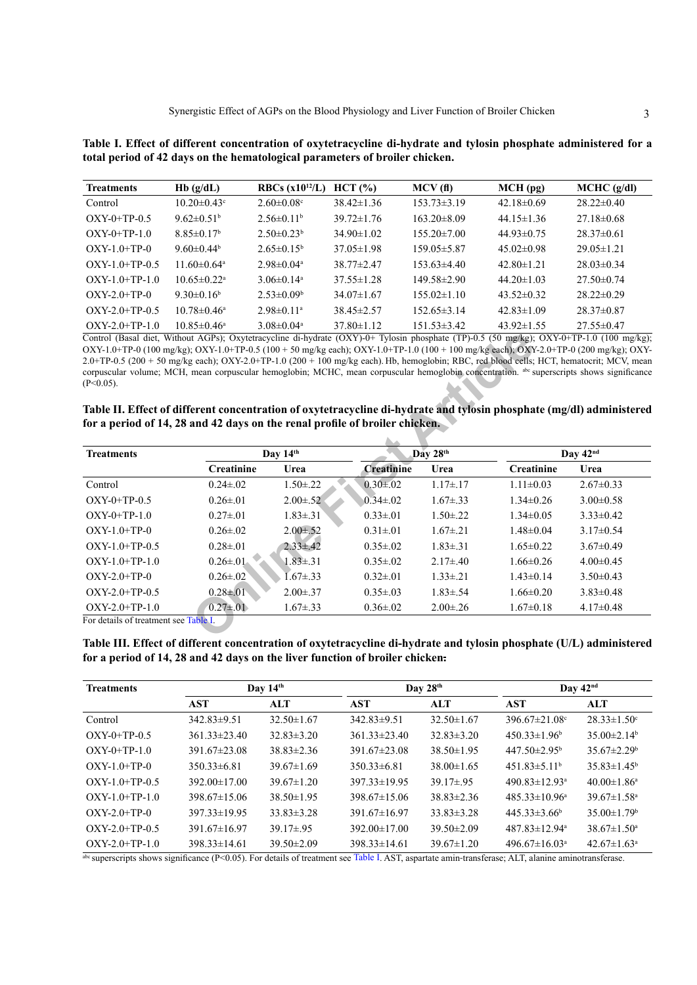<span id="page-2-0"></span>**Table I. Effect of different concentration of oxytetracycline di-hydrate and tylosin phosphate administered for a total period of 42 days on the hematological parameters of broiler chicken.**

| <b>Treatments</b> | Hb(g/dL)                      | <b>RBCs</b> $(x10^{12}/L)$   | HCT (%)          | MCV(f)            | $MCH$ (pg)       | $MCHC$ (g/dl)    |
|-------------------|-------------------------------|------------------------------|------------------|-------------------|------------------|------------------|
| Control           | $10.20 \pm 0.43$ °            | $2.60 \pm 0.08$ <sup>c</sup> | $38.42 \pm 1.36$ | 153.73±3.19       | $42.18 \pm 0.69$ | $28.22 \pm 0.40$ |
| $OXY-0+TP-0.5$    | 9.62 $\pm$ 0.51 <sup>b</sup>  | $2.56\pm0.11b$               | $39.72 \pm 1.76$ | $163.20 \pm 8.09$ | $44.15 \pm 1.36$ | $27.18 \pm 0.68$ |
| $OXY-0+TP-1.0$    | $8.85 \pm 0.17^b$             | $2.50\pm0.23^b$              | $34.90 \pm 1.02$ | $155.20 \pm 7.00$ | $44.93\pm0.75$   | $28.37\pm0.61$   |
| $OXY-1.0+TP-0$    | 9.60 $\pm$ 0.44 <sup>b</sup>  | $2.65\pm0.15^{\rm b}$        | $37.05 \pm 1.98$ | 159.05 ± 5.87     | $45.02 \pm 0.98$ | $29.05 \pm 1.21$ |
| $OXY-1.0+TP-0.5$  | 11.60 $\pm$ 0.64 <sup>a</sup> | $2.98 \pm 0.04$ <sup>a</sup> | $38.77 \pm 2.47$ | $153.63\pm4.40$   | $42.80 \pm 1.21$ | $28.03\pm0.34$   |
| $OXY-1.0+TP-1.0$  | $10.65 \pm 0.22$ <sup>a</sup> | $3.06\pm0.14^{\circ}$        | $37.55 \pm 1.28$ | $149.58 \pm 2.90$ | $44.20 \pm 1.03$ | $27.50\pm0.74$   |
| $OXY-2.0+TP-0$    | 9.30 $\pm$ 0.16 <sup>b</sup>  | $2.53 \pm 0.09^b$            | $34.07\pm1.67$   | $155.02 \pm 1.10$ | $43.52\pm0.32$   | $28.22 \pm 0.29$ |
| $OXY-2.0+TP-0.5$  | $10.78 \pm 0.46^a$            | $2.98\pm 0.11$ <sup>a</sup>  | $38.45 \pm 2.57$ | $152.65 \pm 3.14$ | $42.83 \pm 1.09$ | $28.37\pm0.87$   |
| $OXY-2.0+TP-1.0$  | $10.85 \pm 0.46^a$            | $3.08 \pm 0.04$ <sup>a</sup> | $37.80 \pm 1.12$ | 151.53±3.42       | $43.92 \pm 1.55$ | $27.55 \pm 0.47$ |

<span id="page-2-1"></span>**Table II. Effect of different concentration of oxytetracycline di-hydrate and tylosin phosphate (mg/dl) administered for a period of 14, 28 and 42 days on the renal profile of broiler chicken.**

| Control (Basal diet, Without AGPs); Oxytetracycline di-hydrate (OXY)-0+ Tylosin phosphate (TP)-0.5 (50 mg/kg); OXY-0+TP-1.0 (100 mg/kg);<br>OXY-1.0+TP-0 (100 mg/kg); OXY-1.0+TP-0.5 (100 + 50 mg/kg each); OXY-1.0+TP-1.0 (100 + 100 mg/kg each); OXY-2.0+TP-0 (200 mg/kg); OXY-<br>$2.0+TP-0.5$ (200 + 50 mg/kg each); OXY-2.0+TP-1.0 (200 + 100 mg/kg each). Hb, hemoglobin; RBC, red blood cells; HCT, hematocrit; MCV, mean<br>corpuscular volume; MCH, mean corpuscular hemoglobin; MCHC, mean corpuscular hemoglobin concentration. abc superscripts shows significance<br>$(P<0.05)$ .<br>Table II. Effect of different concentration of oxytetracycline di-hydrate and tylosin phosphate (mg/dl) administered<br>for a period of 14, 28 and 42 days on the renal profile of broiler chicken. |                   |                 |                   |                 |                   |                 |  |
|-------------------------------------------------------------------------------------------------------------------------------------------------------------------------------------------------------------------------------------------------------------------------------------------------------------------------------------------------------------------------------------------------------------------------------------------------------------------------------------------------------------------------------------------------------------------------------------------------------------------------------------------------------------------------------------------------------------------------------------------------------------------------------------------------------|-------------------|-----------------|-------------------|-----------------|-------------------|-----------------|--|
| <b>Treatments</b>                                                                                                                                                                                                                                                                                                                                                                                                                                                                                                                                                                                                                                                                                                                                                                                     | Day 14th          |                 |                   | Day 28th        |                   | Day 42nd        |  |
|                                                                                                                                                                                                                                                                                                                                                                                                                                                                                                                                                                                                                                                                                                                                                                                                       | <b>Creatinine</b> | Urea            | <b>Creatinine</b> | Urea            | <b>Creatinine</b> | Urea            |  |
| Control                                                                                                                                                                                                                                                                                                                                                                                                                                                                                                                                                                                                                                                                                                                                                                                               | $0.24 \pm 0.02$   | $1.50 \pm 0.22$ | $0.30 \pm 0.02$   | $1.17 \pm .17$  | $1.11 \pm 0.03$   | $2.67 \pm 0.33$ |  |
| $OXY-0+TP-0.5$                                                                                                                                                                                                                                                                                                                                                                                                                                                                                                                                                                                                                                                                                                                                                                                        | $0.26 \pm 0.01$   | $2.00 \pm .52$  | $0.34 \pm 0.02$   | $1.67 \pm .33$  | $1.34 \pm 0.26$   | $3.00\pm0.58$   |  |
| $OXY-0+TP-1.0$                                                                                                                                                                                                                                                                                                                                                                                                                                                                                                                                                                                                                                                                                                                                                                                        | $0.27 \pm 0.01$   | $1.83 \pm .31$  | $0.33 \pm 0.01$   | $1.50 \pm 0.22$ | $1.34 \pm 0.05$   | $3.33 \pm 0.42$ |  |
| $OXY-1.0+TP-0$                                                                                                                                                                                                                                                                                                                                                                                                                                                                                                                                                                                                                                                                                                                                                                                        | $0.26 \pm 0.02$   | $2.00 \pm .52$  | $0.31 \pm 0.01$   | $1.67 \pm .21$  | $1.48 \pm 0.04$   | $3.17 \pm 0.54$ |  |
| $OXY-1.0+TP-0.5$                                                                                                                                                                                                                                                                                                                                                                                                                                                                                                                                                                                                                                                                                                                                                                                      | $0.28 \pm 0.01$   | $2.33 \pm .42$  | $0.35 \pm 0.02$   | $1.83 \pm .31$  | $1.65 \pm 0.22$   | $3.67\pm0.49$   |  |
| $OXY-1.0+TP-1.0$                                                                                                                                                                                                                                                                                                                                                                                                                                                                                                                                                                                                                                                                                                                                                                                      | $0.26 \pm 01$     | $1.83 \pm .31$  | $0.35 \pm 0.02$   | $2.17\pm.40$    | $1.66 \pm 0.26$   | $4.00 \pm 0.45$ |  |
| $OXY-2.0+TP-0$                                                                                                                                                                                                                                                                                                                                                                                                                                                                                                                                                                                                                                                                                                                                                                                        | $0.26 \pm 0.02$   | $1.67 \pm .33$  | $0.32 \pm 0.01$   | $1.33 \pm .21$  | $1.43 \pm 0.14$   | $3.50 \pm 0.43$ |  |
| $OXY-2.0+TP-0.5$                                                                                                                                                                                                                                                                                                                                                                                                                                                                                                                                                                                                                                                                                                                                                                                      | $0.28 \pm 0.01$   | $2.00 \pm .37$  | $0.35 \pm 0.03$   | $1.83 \pm .54$  | $1.66 \pm 0.20$   | $3.83 \pm 0.48$ |  |
| $OXY-2.0+TP-1.0$                                                                                                                                                                                                                                                                                                                                                                                                                                                                                                                                                                                                                                                                                                                                                                                      | $0.27 \pm 0.01$   | $1.67 \pm .33$  | $0.36 \pm 0.02$   | $2.00 \pm 0.26$ | $1.67 \pm 0.18$   | $4.17 \pm 0.48$ |  |
| For details of treatment see Table I.                                                                                                                                                                                                                                                                                                                                                                                                                                                                                                                                                                                                                                                                                                                                                                 |                   |                 |                   |                 |                   |                 |  |

<span id="page-2-2"></span>**Table III. Effect of different concentration of oxytetracycline di-hydrate and tylosin phosphate (U/L) administered for a period of 14, 28 and 42 days on the liver function of broiler chicken.**

| <b>Treatments</b> | Day $14th$         |                  | Day $28th$         |                  | Day $42nd$                      |                               |
|-------------------|--------------------|------------------|--------------------|------------------|---------------------------------|-------------------------------|
|                   | <b>AST</b>         | <b>ALT</b>       | <b>AST</b>         | ALT              | <b>AST</b>                      | ALT                           |
| Control           | $342.83 \pm 9.51$  | $32.50 \pm 1.67$ | $342.83 \pm 9.51$  | $32.50 \pm 1.67$ | $396.67 \pm 21.08$ °            | $28.33 \pm 1.50$ <sup>c</sup> |
| $OXY-0+TP-0.5$    | $361.33\pm23.40$   | $32.83 \pm 3.20$ | $361.33\pm23.40$   | $32.83 \pm 3.20$ | $450.33 \pm 1.96^b$             | $35.00\pm2.14^{\circ}$        |
| $OXY-0+TP-1.0$    | $391.67 \pm 23.08$ | $38.83 \pm 2.36$ | $391.67 \pm 23.08$ | $38.50 \pm 1.95$ | $447.50 \pm 2.95^{\circ}$       | $35.67 \pm 2.29$ <sup>b</sup> |
| $OXY-1.0+TP-0$    | $350.33\pm 6.81$   | $39.67\pm1.69$   | $350.33\pm 6.81$   | $38.00 \pm 1.65$ | $451.83\pm5.11^{\circ}$         | $35.83\pm1.45^{\circ}$        |
| $OXY-10+TP-05$    | $392.00 \pm 17.00$ | $39.67 \pm 1.20$ | $397.33 \pm 19.95$ | $39.17 \pm .95$  | $490.83 \pm 12.93$ <sup>a</sup> | $40.00 \pm 1.86^a$            |
| $OXY-1.0+TP-1.0$  | $398.67 \pm 15.06$ | $38.50 \pm 1.95$ | $398.67 \pm 15.06$ | $38.83 \pm 2.36$ | $485.33 \pm 10.96^{\circ}$      | $39.67 \pm 1.58$ <sup>a</sup> |
| $OXY-2.0+TP-0$    | $397.33 \pm 19.95$ | $33.83 \pm 3.28$ | $391.67 \pm 16.97$ | $33.83 \pm 3.28$ | $445.33\pm3.66^b$               | $35.00 \pm 1.79$ <sup>b</sup> |
| $OXY-2.0+TP-0.5$  | $391.67 \pm 16.97$ | $39.17 \pm .95$  | $392.00 \pm 17.00$ | $39.50 \pm 2.09$ | $487.83 \pm 12.94$ <sup>a</sup> | $38.67 \pm 1.50^{\circ}$      |
| $OXY-2.0+TP-1.0$  | $398.33 \pm 14.61$ | $39.50 \pm 2.09$ | $398.33 \pm 14.61$ | $39.67 \pm 1.20$ | $496.67 \pm 16.03$ <sup>a</sup> | $42.67 \pm 1.63$ <sup>a</sup> |

abc superscripts shows significance ( $P<0.05$ ). For details of treatment see [Table I](#page-2-0). AST, aspartate amin-transferase; ALT, alanine aminotransferase.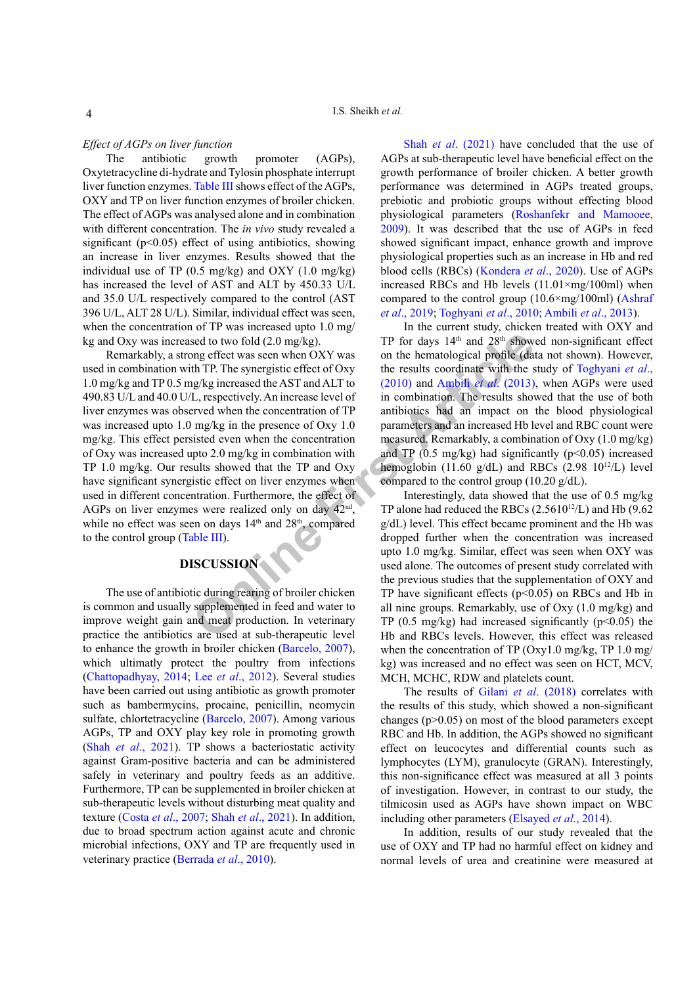#### *Effect of AGPs on liver function*

The antibiotic growth promoter (AGPs), Oxytetracycline di-hydrate and Tylosin phosphate interrupt liver function enzymes. [Table III](#page-2-2) shows effect of the AGPs, OXY and TP on liver function enzymes of broiler chicken. The effect of AGPs was analysed alone and in combination with different concentration. The *in vivo* study revealed a significant ( $p<0.05$ ) effect of using antibiotics, showing an increase in liver enzymes. Results showed that the individual use of TP  $(0.5 \text{ mg/kg})$  and OXY  $(1.0 \text{ mg/kg})$ has increased the level of AST and ALT by 450.33 U/L and 35.0 U/L respectively compared to the control (AST 396 U/L, ALT 28 U/L). Similar, individual effect was seen, when the concentration of TP was increased upto 1.0 mg/ kg and Oxy was increased to two fold (2.0 mg/kg).

sed to two fold (2.0 mg/kg). TP for days  $14^{\text{th}}$  and  $28^{\text{th}}$  shows<br>geffect was seen when OXY was<br>on the hematological profile (dath TP. The synergistic effect of Oxy<br>the results coordinate with the sing/kg increased Remarkably, a strong effect was seen when OXY was used in combination with TP. The synergistic effect of Oxy 1.0 mg/kg and TP 0.5 mg/kg increased the AST and ALT to 490.83 U/L and 40.0 U/L, respectively. An increase level of liver enzymes was observed when the concentration of TP was increased upto 1.0 mg/kg in the presence of Oxy 1.0 mg/kg. This effect persisted even when the concentration of Oxy was increased upto 2.0 mg/kg in combination with TP 1.0 mg/kg. Our results showed that the TP and Oxy have significant synergistic effect on liver enzymes when used in different concentration. Furthermore, the effect of AGPs on liver enzymes were realized only on day 42nd, while no effect was seen on days 14<sup>th</sup> and 28<sup>th</sup>, compared to the control group (Table III).

# DISCUSSION

The use of antibiotic during rearing of broiler chicken is common and usually supplemented in feed and water to improve weight gain and meat production. In veterinary practice the antibiotics are used at sub-therapeutic level to enhance the growth in broiler chicken ([Barcelo, 2007](#page-4-2)), which ultimatly protect the poultry from infections ([Chattopadhyay, 2014](#page-4-5); Lee *et al*., 2012). Several studies have been carried out using antibiotic as growth promoter such as bambermycins, procaine, penicillin, neomycin sulfate, chlortetracycline ([Barcelo, 2007](#page-4-2)). Among various AGPs, TP and OXY play key role in promoting growth (Shah *et al*[., 2021](#page-5-2)). TP shows a bacteriostatic activity against Gram-positive bacteria and can be administered safely in veterinary and poultry feeds as an additive. Furthermore, TP can be supplemented in broiler chicken at sub-therapeutic levels without disturbing meat quality and texture (Costa *et al*[., 2007](#page-4-6); Shah *et al*[., 2021](#page-5-2)). In addition, due to broad spectrum action against acute and chronic microbial infections, OXY and TP are frequently used in veterinary practice (Berrada *et al*., 2010).

Shah *et al*[. \(2021\)](#page-5-2) have concluded that the use of AGPs at sub-therapeutic level have beneficial effect on the growth performance of broiler chicken. A better growth performance was determined in AGPs treated groups, prebiotic and probiotic groups without effecting blood physiological parameters ([Roshanfekr and Mamooee,](#page-5-3)  [2009](#page-5-3)). It was described that the use of AGPs in feed showed significant impact, enhance growth and improve physiological properties such as an increase in Hb and red blood cells (RBCs) (Kondera *et al*., 2020). Use of AGPs increased RBCs and Hb levels  $(11.01 \times mg/100m)$  when compared to the control group (10.6×mg/100ml) ([Ashraf](#page-4-0)  *et al*[., 2019](#page-4-0); [Toghyani](#page-5-4) *et al*., 2010; Ambili *et al*., 2013).

In the current study, chicken treated with OXY and TP for days  $14<sup>th</sup>$  and  $28<sup>th</sup>$  showed non-significant effect on the hematological profile (data not shown). However, the results coordinate with the study of [Toghyani](#page-5-4) *et al*., (2010) and Ambili *et al*. (2013), when AGPs were used in combination. The results showed that the use of both antibiotics had an impact on the blood physiological parameters and an increased Hb level and RBC count were measured. Remarkably, a combination of Oxy (1.0 mg/kg) and TP  $(0.5 \text{ mg/kg})$  had significantly (p<0.05) increased hemoglobin (11.60 g/dL) and RBCs (2.98  $10^{12}$ /L) level compared to the control group (10.20 g/dL).

Interestingly, data showed that the use of 0.5 mg/kg TP alone had reduced the RBCs  $(2.5610^{12}/L)$  and Hb  $(9.62$ g/dL) level. This effect became prominent and the Hb was dropped further when the concentration was increased upto 1.0 mg/kg. Similar, effect was seen when OXY was used alone. The outcomes of present study correlated with the previous studies that the supplementation of OXY and TP have significant effects  $(p<0.05)$  on RBCs and Hb in all nine groups. Remarkably, use of Oxy (1.0 mg/kg) and TP (0.5 mg/kg) had increased significantly ( $p$ <0.05) the Hb and RBCs levels. However, this effect was released when the concentration of TP ( $Oxv1.0$  mg/kg, TP 1.0 mg/ kg) was increased and no effect was seen on HCT, MCV, MCH, MCHC, RDW and platelets count.

The results of Gilani *et al*[. \(2018\)](#page-4-1) correlates with the results of this study, which showed a non-significant changes  $(p>0.05)$  on most of the blood parameters except RBC and Hb. In addition, the AGPs showed no significant effect on leucocytes and differential counts such as lymphocytes (LYM), granulocyte (GRAN). Interestingly, this non-significance effect was measured at all 3 points of investigation. However, in contrast to our study, the tilmicosin used as AGPs have shown impact on WBC including other parameters [\(Elsayed](#page-4-7) *et al*., 2014).

In addition, results of our study revealed that the use of OXY and TP had no harmful effect on kidney and normal levels of urea and creatinine were measured at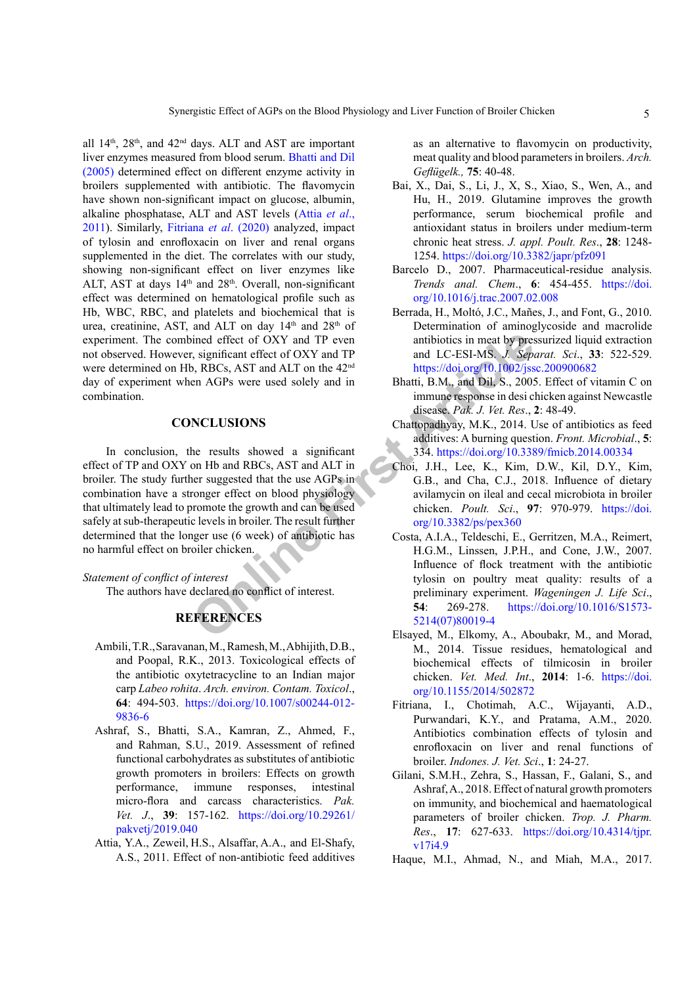all  $14<sup>th</sup>$ ,  $28<sup>th</sup>$ , and  $42<sup>nd</sup>$  days. ALT and AST are important liver enzymes measured from blood serum. [Bhatti and Dil](#page-4-8) [\(2005\)](#page-4-8) determined effect on different enzyme activity in broilers supplemented with antibiotic. The flavomycin have shown non-significant impact on glucose, albumin, alkaline phosphatase, ALT and AST levels ([Attia](#page-4-9) *et al*., [2011](#page-4-9)). Similarly, [Fitriana](#page-4-10) *et al*. (2020) analyzed, impact of tylosin and enrofloxacin on liver and renal organs supplemented in the diet. The correlates with our study, showing non-significant effect on liver enzymes like ALT, AST at days  $14<sup>th</sup>$  and  $28<sup>th</sup>$ . Overall, non-significant effect was determined on hematological profile such as Hb, WBC, RBC, and platelets and biochemical that is urea, creatinine, AST, and ALT on day 14<sup>th</sup> and 28<sup>th</sup> of experiment. The combined effect of OXY and TP even not observed. However, significant effect of OXY and TP were determined on Hb, RBCs, AST and ALT on the 42nd day of experiment when AGPs were used solely and in combination.

#### **CONCLUSIONS**

FIFERINGES<br>
FRIENCES<br>
FRIENDIGES<br>
FRIENDIGES<br>
FRIENDIGES<br>
FRIENDIGES<br>
FRIENDIGES<br>
FRIENDIGES<br>
FRIENDIGES<br>
FRIENDIGES<br>
FRIENDIGES<br>
FRIENDIGES<br>
FRIENDIGES<br>
FRIENDIGES<br>
FRIENDIGES<br>
FRIENDIGES<br>
FRIENDIGES<br>
FRIENDIGES<br>
FRIENDIG In conclusion, the results showed a significant effect of TP and OXY on Hb and RBCs, AST and ALT in broiler. The study further suggested that the use AGPs in combination have a stronger effect on blood physiology that ultimately lead to promote the growth and can be used safely at sub-therapeutic levels in broiler. The result further determined that the longer use (6 week) of antibiotic has no harmful effect on broiler chicken.

*Statement of conflict of interest* The authors have declared no conflict of interest.

### **REFERENCES**

- Ambili, T.R.,Saravanan, M.,Ramesh, M.,Abhijith,D.B., and Poopal, R.K., 2013. Toxicological effects of the antibiotic oxytetracycline to an Indian major carp *Labeo rohita*. *Arch. environ. Contam. Toxicol*., **64**: 494-503. [https://doi.org/10.1007/s00244-012-](https://doi.org/10.1007/s00244-012-9836-6) [9836-6](https://doi.org/10.1007/s00244-012-9836-6)
- <span id="page-4-0"></span>Ashraf, S., Bhatti, S.A., Kamran, Z., Ahmed, F., and Rahman, S.U., 2019. Assessment of refined functional carbohydrates as substitutes of antibiotic growth promoters in broilers: Effects on growth performance, immune responses, intestinal micro-flora and carcass characteristics. *Pak. Vet. J*., **39**: 157-162. [https://doi.org/10.29261/](https://doi.org/10.29261/pakvetj/2019.040) [pakvetj/2019.040](https://doi.org/10.29261/pakvetj/2019.040)
- <span id="page-4-9"></span>Attia, Y.A., Zeweil, H.S., Alsaffar, A.A., and El-Shafy, A.S., 2011. Effect of non-antibiotic feed additives

as an alternative to flavomycin on productivity, meat quality and blood parameters in broilers. *Arch. Geflügelk.,* **75**: 40-48.

- <span id="page-4-3"></span>Bai, X., Dai, S., Li, J., X, S., Xiao, S., Wen, A., and Hu, H., 2019. Glutamine improves the growth performance, serum biochemical profile and antioxidant status in broilers under medium-term chronic heat stress. *J. appl. Poult. Res*., **28**: 1248- 1254.<https://doi.org/10.3382/japr/pfz091>
- <span id="page-4-2"></span>Barcelo D., 2007. Pharmaceutical-residue analysis. *Trends anal. Chem*., **6**: 454-455. [https://doi.](https://doi.org/10.1016/j.trac.2007.02.008) [org/10.1016/j.trac.2007.02.008](https://doi.org/10.1016/j.trac.2007.02.008)
- Berrada, H., Moltó, J.C., Mañes, J., and Font, G., 2010. Determination of aminoglycoside and macrolide antibiotics in meat by pressurized liquid extraction and LC-ESI-MS. *J. Separat. Sci*., **33**: 522-529. <https://doi.org/10.1002/jssc.200900682>
- <span id="page-4-8"></span>Bhatti, B.M., and Dil, S., 2005. Effect of vitamin C on immune response in desi chicken against Newcastle disease. *Pak. J. Vet. Res*., **2**: 48-49.
- <span id="page-4-5"></span>Chattopadhyay, M.K., 2014. Use of antibiotics as feed additives: A burning question. *Front. Microbial*., **5**: 334. <https://doi.org/10.3389/fmicb.2014.00334>
- Choi, J.H., Lee, K., Kim, D.W., Kil, D.Y., Kim, G.B., and Cha, C.J., 2018. Influence of dietary avilamycin on ileal and cecal microbiota in broiler chicken. *Poult. Sci*., **97**: 970-979. [https://doi.](https://doi.org/10.3382/ps/pex360) org/10.3382/ps/pex360
- <span id="page-4-6"></span>Costa, A.I.A., Teldeschi, E., Gerritzen, M.A., Reimert, H.G.M., Linssen, J.P.H., and Cone, J.W., 2007. Influence of flock treatment with the antibiotic tylosin on poultry meat quality: results of a preliminary experiment. *Wageningen J. Life Sci*., **54**: 269-278. [https://doi.org/10.1016/S1573-](https://doi.org/10.1016/S1573-5214(07)80019-4) 5214(07)80019-4
- <span id="page-4-7"></span>Elsayed, M., Elkomy, A., Aboubakr, M., and Morad, M., 2014. Tissue residues, hematological and biochemical effects of tilmicosin in broiler chicken. *Vet. Med. Int*., **2014**: 1-6. [https://doi.](https://doi.org/10.1155/2014/502872) [org/10.1155/2014/502872](https://doi.org/10.1155/2014/502872)
- <span id="page-4-10"></span>Fitriana, I., Chotimah, A.C., Wijayanti, A.D., Purwandari, K.Y., and Pratama, A.M., 2020. Antibiotics combination effects of tylosin and enrofloxacin on liver and renal functions of broiler. *Indones. J. Vet. Sci*., **1**: 24-27.
- <span id="page-4-1"></span>Gilani, S.M.H., Zehra, S., Hassan, F., Galani, S., and Ashraf, A., 2018. Effect of natural growth promoters on immunity, and biochemical and haematological parameters of broiler chicken. *Trop. J. Pharm. Res*., **17**: 627-633. [https://doi.org/10.4314/tjpr.](https://doi.org/10.4314/tjpr.v17i4.9) [v17i4.9](https://doi.org/10.4314/tjpr.v17i4.9)
- <span id="page-4-4"></span>Haque, M.I., Ahmad, N., and Miah, M.A., 2017.